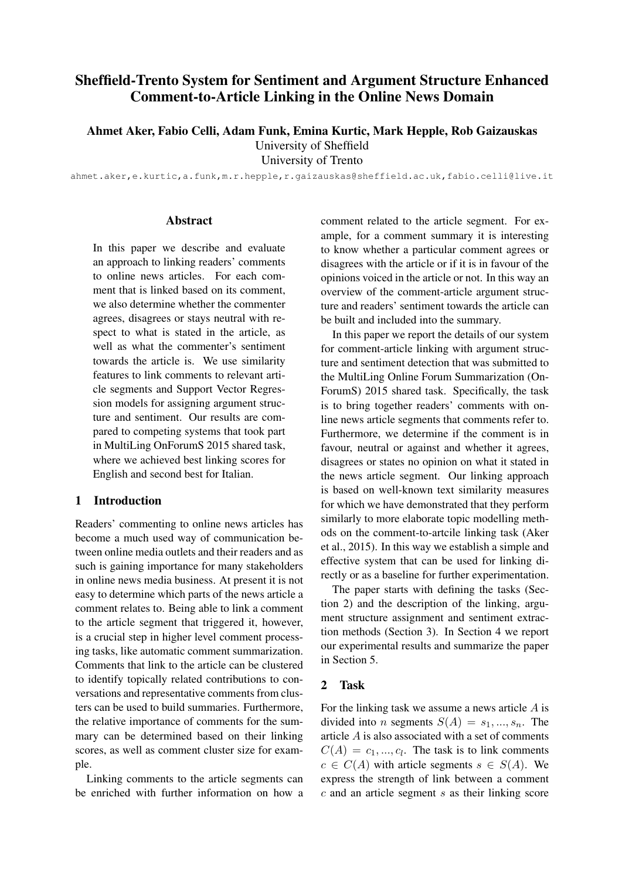# Sheffield-Trento System for Sentiment and Argument Structure Enhanced Comment-to-Article Linking in the Online News Domain

Ahmet Aker, Fabio Celli, Adam Funk, Emina Kurtic, Mark Hepple, Rob Gaizauskas

University of Sheffield

University of Trento

ahmet.aker,e.kurtic,a.funk,m.r.hepple,r.gaizauskas@sheffield.ac.uk,fabio.celli@live.it

#### **Abstract**

In this paper we describe and evaluate an approach to linking readers' comments to online news articles. For each comment that is linked based on its comment, we also determine whether the commenter agrees, disagrees or stays neutral with respect to what is stated in the article, as well as what the commenter's sentiment towards the article is. We use similarity features to link comments to relevant article segments and Support Vector Regression models for assigning argument structure and sentiment. Our results are compared to competing systems that took part in MultiLing OnForumS 2015 shared task, where we achieved best linking scores for English and second best for Italian.

#### 1 Introduction

Readers' commenting to online news articles has become a much used way of communication between online media outlets and their readers and as such is gaining importance for many stakeholders in online news media business. At present it is not easy to determine which parts of the news article a comment relates to. Being able to link a comment to the article segment that triggered it, however, is a crucial step in higher level comment processing tasks, like automatic comment summarization. Comments that link to the article can be clustered to identify topically related contributions to conversations and representative comments from clusters can be used to build summaries. Furthermore, the relative importance of comments for the summary can be determined based on their linking scores, as well as comment cluster size for example.

Linking comments to the article segments can be enriched with further information on how a comment related to the article segment. For example, for a comment summary it is interesting to know whether a particular comment agrees or disagrees with the article or if it is in favour of the opinions voiced in the article or not. In this way an overview of the comment-article argument structure and readers' sentiment towards the article can be built and included into the summary.

In this paper we report the details of our system for comment-article linking with argument structure and sentiment detection that was submitted to the MultiLing Online Forum Summarization (On-ForumS) 2015 shared task. Specifically, the task is to bring together readers' comments with online news article segments that comments refer to. Furthermore, we determine if the comment is in favour, neutral or against and whether it agrees, disagrees or states no opinion on what it stated in the news article segment. Our linking approach is based on well-known text similarity measures for which we have demonstrated that they perform similarly to more elaborate topic modelling methods on the comment-to-artcile linking task (Aker et al., 2015). In this way we establish a simple and effective system that can be used for linking directly or as a baseline for further experimentation.

The paper starts with defining the tasks (Section 2) and the description of the linking, argument structure assignment and sentiment extraction methods (Section 3). In Section 4 we report our experimental results and summarize the paper in Section 5.

## 2 Task

For the linking task we assume a news article A is divided into *n* segments  $S(A) = s_1, ..., s_n$ . The article A is also associated with a set of comments  $C(A) = c_1, ..., c_l$ . The task is to link comments  $c \in C(A)$  with article segments  $s \in S(A)$ . We express the strength of link between a comment  $c$  and an article segment  $s$  as their linking score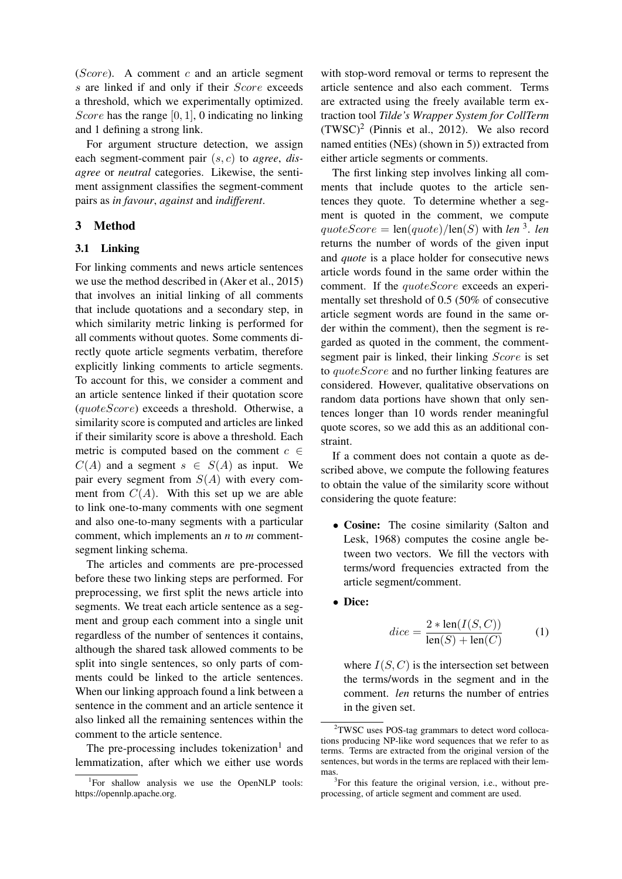$(Score)$ . A comment c and an article segment s are linked if and only if their *Score* exceeds a threshold, which we experimentally optimized. Score has the range  $[0, 1]$ , 0 indicating no linking and 1 defining a strong link.

For argument structure detection, we assign each segment-comment pair (s, c) to *agree*, *disagree* or *neutral* categories. Likewise, the sentiment assignment classifies the segment-comment pairs as *in favour*, *against* and *indifferent*.

## 3 Method

#### 3.1 Linking

For linking comments and news article sentences we use the method described in (Aker et al., 2015) that involves an initial linking of all comments that include quotations and a secondary step, in which similarity metric linking is performed for all comments without quotes. Some comments directly quote article segments verbatim, therefore explicitly linking comments to article segments. To account for this, we consider a comment and an article sentence linked if their quotation score (quoteScore) exceeds a threshold. Otherwise, a similarity score is computed and articles are linked if their similarity score is above a threshold. Each metric is computed based on the comment  $c \in$  $C(A)$  and a segment  $s \in S(A)$  as input. We pair every segment from  $S(A)$  with every comment from  $C(A)$ . With this set up we are able to link one-to-many comments with one segment and also one-to-many segments with a particular comment, which implements an *n* to *m* commentsegment linking schema.

The articles and comments are pre-processed before these two linking steps are performed. For preprocessing, we first split the news article into segments. We treat each article sentence as a segment and group each comment into a single unit regardless of the number of sentences it contains, although the shared task allowed comments to be split into single sentences, so only parts of comments could be linked to the article sentences. When our linking approach found a link between a sentence in the comment and an article sentence it also linked all the remaining sentences within the comment to the article sentence.

The pre-processing includes tokenization<sup>1</sup> and lemmatization, after which we either use words

with stop-word removal or terms to represent the article sentence and also each comment. Terms are extracted using the freely available term extraction tool *Tilde's Wrapper System for CollTerm*  $(TWSC)^2$  (Pinnis et al., 2012). We also record named entities (NEs) (shown in 5)) extracted from either article segments or comments.

The first linking step involves linking all comments that include quotes to the article sentences they quote. To determine whether a segment is quoted in the comment, we compute  $quoteScore = \text{len}(quote)/\text{len}(S)$  with *len*<sup>3</sup>. *len* returns the number of words of the given input and *quote* is a place holder for consecutive news article words found in the same order within the comment. If the *quoteScore* exceeds an experimentally set threshold of 0.5 (50% of consecutive article segment words are found in the same order within the comment), then the segment is regarded as quoted in the comment, the commentsegment pair is linked, their linking *Score* is set to *quoteScore* and no further linking features are considered. However, qualitative observations on random data portions have shown that only sentences longer than 10 words render meaningful quote scores, so we add this as an additional constraint.

If a comment does not contain a quote as described above, we compute the following features to obtain the value of the similarity score without considering the quote feature:

- Cosine: The cosine similarity (Salton and Lesk, 1968) computes the cosine angle between two vectors. We fill the vectors with terms/word frequencies extracted from the article segment/comment.
- Dice:

$$
dice = \frac{2 * len(I(S, C))}{len(S) + len(C)}
$$
 (1)

where  $I(S, C)$  is the intersection set between the terms/words in the segment and in the comment. *len* returns the number of entries in the given set.

<sup>&</sup>lt;sup>1</sup>For shallow analysis we use the OpenNLP tools: https://opennlp.apache.org.

<sup>&</sup>lt;sup>2</sup>TWSC uses POS-tag grammars to detect word collocations producing NP-like word sequences that we refer to as terms. Terms are extracted from the original version of the sentences, but words in the terms are replaced with their lemmas.

<sup>&</sup>lt;sup>3</sup>For this feature the original version, i.e., without preprocessing, of article segment and comment are used.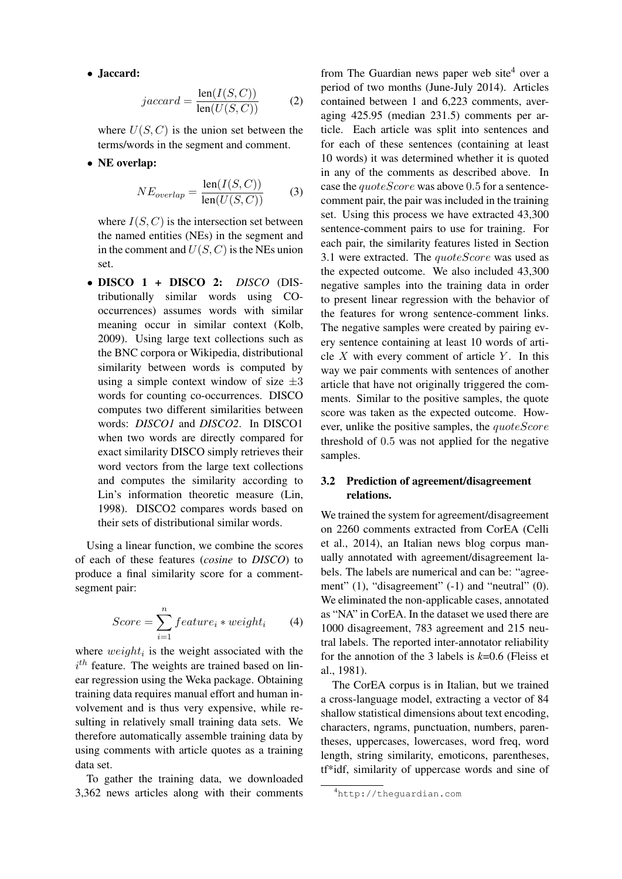• Jaccard:

$$
jaccard = \frac{\text{len}(I(S, C))}{\text{len}(U(S, C))}
$$
 (2)

where  $U(S, C)$  is the union set between the terms/words in the segment and comment.

• NE overlap:

$$
NE_{overlap} = \frac{\text{len}(I(S, C))}{\text{len}(U(S, C))}
$$
 (3)

where  $I(S, C)$  is the intersection set between the named entities (NEs) in the segment and in the comment and  $U(S, C)$  is the NEs union set.

• DISCO 1 + DISCO 2: *DISCO* (DIStributionally similar words using COoccurrences) assumes words with similar meaning occur in similar context (Kolb, 2009). Using large text collections such as the BNC corpora or Wikipedia, distributional similarity between words is computed by using a simple context window of size  $\pm 3$ words for counting co-occurrences. DISCO computes two different similarities between words: *DISCO1* and *DISCO2*. In DISCO1 when two words are directly compared for exact similarity DISCO simply retrieves their word vectors from the large text collections and computes the similarity according to Lin's information theoretic measure (Lin, 1998). DISCO2 compares words based on their sets of distributional similar words.

Using a linear function, we combine the scores of each of these features (*cosine* to *DISCO*) to produce a final similarity score for a commentsegment pair:

$$
Score = \sum_{i=1}^{n} feature_i * weight_i \qquad (4)
$$

where  $weight_i$  is the weight associated with the  $i<sup>th</sup>$  feature. The weights are trained based on linear regression using the Weka package. Obtaining training data requires manual effort and human involvement and is thus very expensive, while resulting in relatively small training data sets. We therefore automatically assemble training data by using comments with article quotes as a training data set.

To gather the training data, we downloaded 3,362 news articles along with their comments

from The Guardian news paper web site<sup>4</sup> over a period of two months (June-July 2014). Articles contained between 1 and 6,223 comments, averaging 425.95 (median 231.5) comments per article. Each article was split into sentences and for each of these sentences (containing at least 10 words) it was determined whether it is quoted in any of the comments as described above. In case the  $quoteScore$  was above 0.5 for a sentencecomment pair, the pair was included in the training set. Using this process we have extracted 43,300 sentence-comment pairs to use for training. For each pair, the similarity features listed in Section 3.1 were extracted. The  $quoteScore$  was used as the expected outcome. We also included 43,300 negative samples into the training data in order to present linear regression with the behavior of the features for wrong sentence-comment links. The negative samples were created by pairing every sentence containing at least 10 words of article  $X$  with every comment of article  $Y$ . In this way we pair comments with sentences of another article that have not originally triggered the comments. Similar to the positive samples, the quote score was taken as the expected outcome. However, unlike the positive samples, the *quoteScore* threshold of 0.5 was not applied for the negative samples.

## 3.2 Prediction of agreement/disagreement relations.

We trained the system for agreement/disagreement on 2260 comments extracted from CorEA (Celli et al., 2014), an Italian news blog corpus manually annotated with agreement/disagreement labels. The labels are numerical and can be: "agreement" (1), "disagreement" (-1) and "neutral" (0). We eliminated the non-applicable cases, annotated as "NA" in CorEA. In the dataset we used there are 1000 disagreement, 783 agreement and 215 neutral labels. The reported inter-annotator reliability for the annotion of the 3 labels is *k*=0.6 (Fleiss et al., 1981).

The CorEA corpus is in Italian, but we trained a cross-language model, extracting a vector of 84 shallow statistical dimensions about text encoding, characters, ngrams, punctuation, numbers, parentheses, uppercases, lowercases, word freq, word length, string similarity, emoticons, parentheses, tf\*idf, similarity of uppercase words and sine of

<sup>4</sup>http://theguardian.com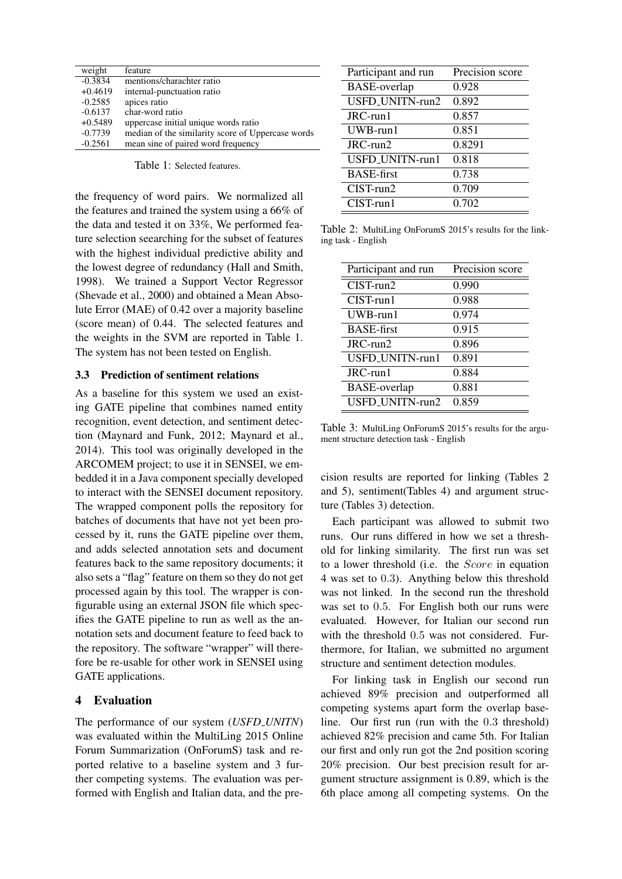| weight    | feature                                           |
|-----------|---------------------------------------------------|
| $-0.3834$ | mentions/charachter ratio                         |
| $+0.4619$ | internal-punctuation ratio                        |
| $-0.2585$ | apices ratio                                      |
| $-0.6137$ | char-word ratio                                   |
| $+0.5489$ | uppercase initial unique words ratio              |
| $-0.7739$ | median of the similarity score of Uppercase words |
| $-0.2561$ | mean sine of paired word frequency                |

Table 1: Selected features.

the frequency of word pairs. We normalized all the features and trained the system using a 66% of the data and tested it on 33%, We performed feature selection seearching for the subset of features with the highest individual predictive ability and the lowest degree of redundancy (Hall and Smith, 1998). We trained a Support Vector Regressor (Shevade et al., 2000) and obtained a Mean Absolute Error (MAE) of 0.42 over a majority baseline (score mean) of 0.44. The selected features and the weights in the SVM are reported in Table 1. The system has not been tested on English.

#### 3.3 Prediction of sentiment relations

As a baseline for this system we used an existing GATE pipeline that combines named entity recognition, event detection, and sentiment detection (Maynard and Funk, 2012; Maynard et al., 2014). This tool was originally developed in the ARCOMEM project; to use it in SENSEI, we embedded it in a Java component specially developed to interact with the SENSEI document repository. The wrapped component polls the repository for batches of documents that have not yet been processed by it, runs the GATE pipeline over them, and adds selected annotation sets and document features back to the same repository documents; it also sets a "flag" feature on them so they do not get processed again by this tool. The wrapper is configurable using an external JSON file which specifies the GATE pipeline to run as well as the annotation sets and document feature to feed back to the repository. The software "wrapper" will therefore be re-usable for other work in SENSEI using GATE applications.

#### 4 Evaluation

The performance of our system (*USFD UNITN*) was evaluated within the MultiLing 2015 Online Forum Summarization (OnForumS) task and reported relative to a baseline system and 3 further competing systems. The evaluation was performed with English and Italian data, and the pre-

| Participant and run | Precision score |
|---------------------|-----------------|
| <b>BASE-overlap</b> | 0.928           |
| USFD_UNITN-run2     | 0.892           |
| JRC-run1            | 0.857           |
| $UWB$ -run $1$      | 0.851           |
| JRC-run2            | 0.8291          |
| USFD_UNITN-run1     | 0.818           |
| <b>BASE-first</b>   | 0.738           |
| $CIST$ -run $2$     | 0.709           |
| $CIST$ -run1        | 0.702           |

Table 2: MultiLing OnForumS 2015's results for the linking task - English

| Precision score |
|-----------------|
| 0.990           |
| 0.988           |
| 0.974           |
| 0.915           |
| 0.896           |
| 0.891           |
| 0.884           |
| 0.881           |
| 0.859           |
|                 |

Table 3: MultiLing OnForumS 2015's results for the argument structure detection task - English

cision results are reported for linking (Tables 2 and 5), sentiment(Tables 4) and argument structure (Tables 3) detection.

Each participant was allowed to submit two runs. Our runs differed in how we set a threshold for linking similarity. The first run was set to a lower threshold (i.e. the Score in equation 4 was set to 0.3). Anything below this threshold was not linked. In the second run the threshold was set to 0.5. For English both our runs were evaluated. However, for Italian our second run with the threshold 0.5 was not considered. Furthermore, for Italian, we submitted no argument structure and sentiment detection modules.

For linking task in English our second run achieved 89% precision and outperformed all competing systems apart form the overlap baseline. Our first run (run with the 0.3 threshold) achieved 82% precision and came 5th. For Italian our first and only run got the 2nd position scoring 20% precision. Our best precision result for argument structure assignment is 0.89, which is the 6th place among all competing systems. On the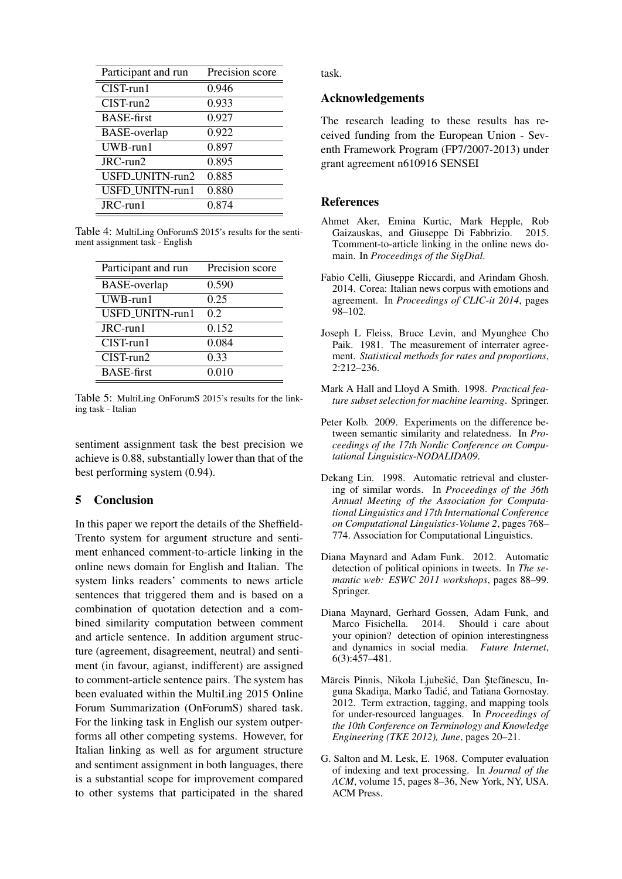| Participant and run | Precision score |
|---------------------|-----------------|
| $CIST$ -run $1$     | 0.946           |
| $CIST$ -run $2$     | 0.933           |
| <b>BASE-first</b>   | 0.927           |
| <b>BASE-overlap</b> | 0.922           |
| $UWB$ -run $1$      | 0.897           |
| JRC-run2            | 0.895           |
| USFD_UNITN-run2     | 0.885           |
| USFD_UNITN-run1     | 0.880           |
| JRC-run1            | 0.874           |

Table 4: MultiLing OnForumS 2015's results for the sentiment assignment task - English

| Participant and run | Precision score |
|---------------------|-----------------|
| <b>BASE-overlap</b> | 0.590           |
| $UWB$ -run $1$      | 0.25            |
| USFD_UNITN-run1     | 0.2             |
| JRC-run1            | 0.152           |
| $CIST$ -run $1$     | 0.084           |
| $CIST$ -run $2$     | 0.33            |
| <b>BASE-first</b>   | 0.010           |

Table 5: MultiLing OnForumS 2015's results for the linking task - Italian

sentiment assignment task the best precision we achieve is 0.88, substantially lower than that of the best performing system (0.94).

## 5 Conclusion

In this paper we report the details of the Sheffield-Trento system for argument structure and sentiment enhanced comment-to-article linking in the online news domain for English and Italian. The system links readers' comments to news article sentences that triggered them and is based on a combination of quotation detection and a combined similarity computation between comment and article sentence. In addition argument structure (agreement, disagreement, neutral) and sentiment (in favour, agianst, indifferent) are assigned to comment-article sentence pairs. The system has been evaluated within the MultiLing 2015 Online Forum Summarization (OnForumS) shared task. For the linking task in English our system outperforms all other competing systems. However, for Italian linking as well as for argument structure and sentiment assignment in both languages, there is a substantial scope for improvement compared to other systems that participated in the shared task.

### Acknowledgements

The research leading to these results has received funding from the European Union - Seventh Framework Program (FP7/2007-2013) under grant agreement n610916 SENSEI

## References

- Ahmet Aker, Emina Kurtic, Mark Hepple, Rob Gaizauskas, and Giuseppe Di Fabbrizio. 2015. Tcomment-to-article linking in the online news domain. In *Proceedings of the SigDial*.
- Fabio Celli, Giuseppe Riccardi, and Arindam Ghosh. 2014. Corea: Italian news corpus with emotions and agreement. In *Proceedings of CLIC-it 2014*, pages 98–102.
- Joseph L Fleiss, Bruce Levin, and Myunghee Cho Paik. 1981. The measurement of interrater agreement. *Statistical methods for rates and proportions*, 2:212–236.
- Mark A Hall and Lloyd A Smith. 1998. *Practical feature subset selection for machine learning*. Springer.
- Peter Kolb. 2009. Experiments on the difference between semantic similarity and relatedness. In *Proceedings of the 17th Nordic Conference on Computational Linguistics-NODALIDA09*.
- Dekang Lin. 1998. Automatic retrieval and clustering of similar words. In *Proceedings of the 36th Annual Meeting of the Association for Computational Linguistics and 17th International Conference on Computational Linguistics-Volume 2*, pages 768– 774. Association for Computational Linguistics.
- Diana Maynard and Adam Funk. 2012. Automatic detection of political opinions in tweets. In *The semantic web: ESWC 2011 workshops*, pages 88–99. Springer.
- Diana Maynard, Gerhard Gossen, Adam Funk, and Marco Fisichella. 2014. Should i care about your opinion? detection of opinion interestingness and dynamics in social media. *Future Internet*, 6(3):457–481.
- Mārcis Pinnis, Nikola Ljubešić, Dan Ştefănescu, Inguna Skadiņa, Marko Tadić, and Tatiana Gornostay. 2012. Term extraction, tagging, and mapping tools for under-resourced languages. In *Proceedings of the 10th Conference on Terminology and Knowledge Engineering (TKE 2012), June*, pages 20–21.
- G. Salton and M. Lesk, E. 1968. Computer evaluation of indexing and text processing. In *Journal of the ACM*, volume 15, pages 8–36, New York, NY, USA. ACM Press.